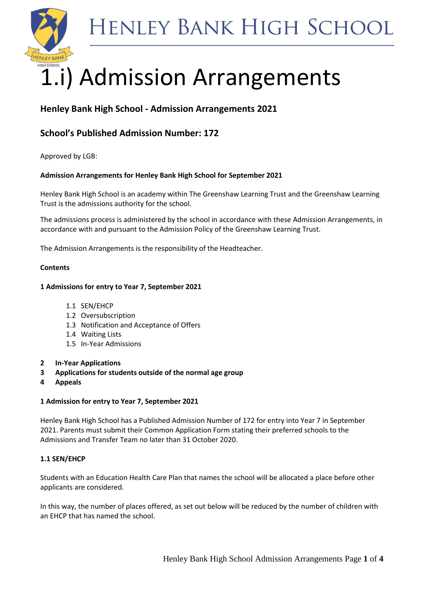



# 1.i) Admission Arrangements

# **Henley Bank High School - Admission Arrangements 2021**

# **School's Published Admission Number: 172**

Approved by LGB:

# **Admission Arrangements for Henley Bank High School for September 2021**

Henley Bank High School is an academy within The Greenshaw Learning Trust and the Greenshaw Learning Trust is the admissions authority for the school.

The admissions process is administered by the school in accordance with these Admission Arrangements, in accordance with and pursuant to the Admission Policy of the Greenshaw Learning Trust.

The Admission Arrangements is the responsibility of the Headteacher.

# **Contents**

# **1 Admissions for entry to Year 7, September 2021**

- 1.1 SEN/EHCP
- 1.2 Oversubscription
- 1.3 Notification and Acceptance of Offers
- 1.4 Waiting Lists
- 1.5 In-Year Admissions
- **2 In-Year Applications**
- **3 Applications for students outside of the normal age group**
- **4 Appeals**

# **1 Admission for entry to Year 7, September 2021**

Henley Bank High School has a Published Admission Number of 172 for entry into Year 7 in September 2021. Parents must submit their Common Application Form stating their preferred schools to the Admissions and Transfer Team no later than 31 October 2020.

# **1.1 SEN/EHCP**

Students with an Education Health Care Plan that names the school will be allocated a place before other applicants are considered.

In this way, the number of places offered, as set out below will be reduced by the number of children with an EHCP that has named the school.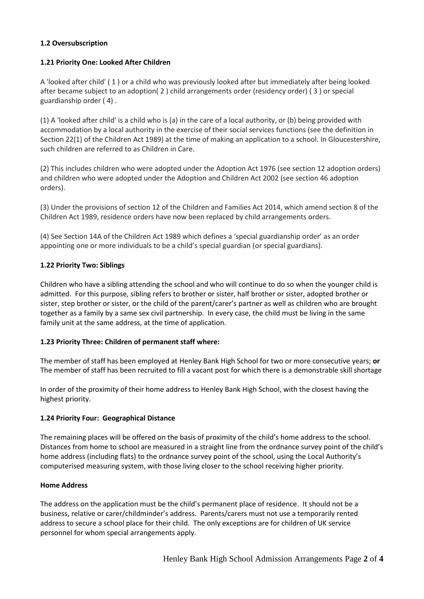#### **1.2 Oversubscription**

#### **1.21 Priority One: Looked After Children**

A 'looked after child' ( 1 ) or a child who was previously looked after but immediately after being looked after became subject to an adoption( 2 ) child arrangements order (residency order) ( 3 ) or special guardianship order ( 4) .

(1) A 'looked after child' is a child who is (a) in the care of a local authority, or (b) being provided with accommodation by a local authority in the exercise of their social services functions (see the definition in Section 22(1) of the Children Act 1989) at the time of making an application to a school. In Gloucestershire, such children are referred to as Children in Care.

(2) This includes children who were adopted under the Adoption Act 1976 (see section 12 adoption orders) and children who were adopted under the Adoption and Children Act 2002 (see section 46 adoption orders).

(3) Under the provisions of section 12 of the Children and Families Act 2014, which amend section 8 of the Children Act 1989, residence orders have now been replaced by child arrangements orders.

(4) See Section 14A of the Children Act 1989 which defines a 'special guardianship order' as an order appointing one or more individuals to be a child's special guardian (or special guardians).

#### **1.22 Priority Two: Siblings**

Children who have a sibling attending the school and who will continue to do so when the younger child is admitted. For this purpose, sibling refers to brother or sister, half brother or sister, adopted brother or sister, step brother or sister, or the child of the parent/carer's partner as well as children who are brought together as a family by a same sex civil partnership. In every case, the child must be living in the same family unit at the same address, at the time of application.

#### **1.23 Priority Three: Children of permanent staff where:**

The member of staff has been employed at Henley Bank High School for two or more consecutive years; **or** The member of staff has been recruited to fill a vacant post for which there is a demonstrable skill shortage

In order of the proximity of their home address to Henley Bank High School, with the closest having the highest priority.

#### **1.24 Priority Four: Geographical Distance**

The remaining places will be offered on the basis of proximity of the child's home address to the school. Distances from home to school are measured in a straight line from the ordnance survey point of the child's home address (including flats) to the ordnance survey point of the school, using the Local Authority's computerised measuring system, with those living closer to the school receiving higher priority.

#### **Home Address**

The address on the application must be the child's permanent place of residence. It should not be a business, relative or carer/childminder's address. Parents/carers must not use a temporarily rented address to secure a school place for their child. The only exceptions are for children of UK service personnel for whom special arrangements apply.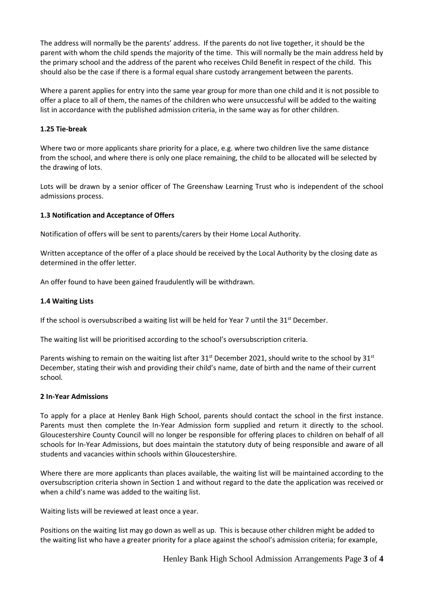The address will normally be the parents' address. If the parents do not live together, it should be the parent with whom the child spends the majority of the time. This will normally be the main address held by the primary school and the address of the parent who receives Child Benefit in respect of the child. This should also be the case if there is a formal equal share custody arrangement between the parents.

Where a parent applies for entry into the same year group for more than one child and it is not possible to offer a place to all of them, the names of the children who were unsuccessful will be added to the waiting list in accordance with the published admission criteria, in the same way as for other children.

#### **1.25 Tie-break**

Where two or more applicants share priority for a place, e.g. where two children live the same distance from the school, and where there is only one place remaining, the child to be allocated will be selected by the drawing of lots.

Lots will be drawn by a senior officer of The Greenshaw Learning Trust who is independent of the school admissions process.

#### **1.3 Notification and Acceptance of Offers**

Notification of offers will be sent to parents/carers by their Home Local Authority.

Written acceptance of the offer of a place should be received by the Local Authority by the closing date as determined in the offer letter.

An offer found to have been gained fraudulently will be withdrawn.

#### **1.4 Waiting Lists**

If the school is oversubscribed a waiting list will be held for Year 7 until the  $31<sup>st</sup>$  December.

The waiting list will be prioritised according to the school's oversubscription criteria.

Parents wishing to remain on the waiting list after 31<sup>st</sup> December 2021, should write to the school by 31<sup>st</sup> December, stating their wish and providing their child's name, date of birth and the name of their current school*.* 

#### **2 In-Year Admissions**

To apply for a place at Henley Bank High School, parents should contact the school in the first instance. Parents must then complete the In-Year Admission form supplied and return it directly to the school. Gloucestershire County Council will no longer be responsible for offering places to children on behalf of all schools for In-Year Admissions, but does maintain the statutory duty of being responsible and aware of all students and vacancies within schools within Gloucestershire.

Where there are more applicants than places available, the waiting list will be maintained according to the oversubscription criteria shown in Section 1 and without regard to the date the application was received or when a child's name was added to the waiting list.

Waiting lists will be reviewed at least once a year.

Positions on the waiting list may go down as well as up. This is because other children might be added to the waiting list who have a greater priority for a place against the school's admission criteria; for example,

Henley Bank High School Admission Arrangements Page **3** of **4**